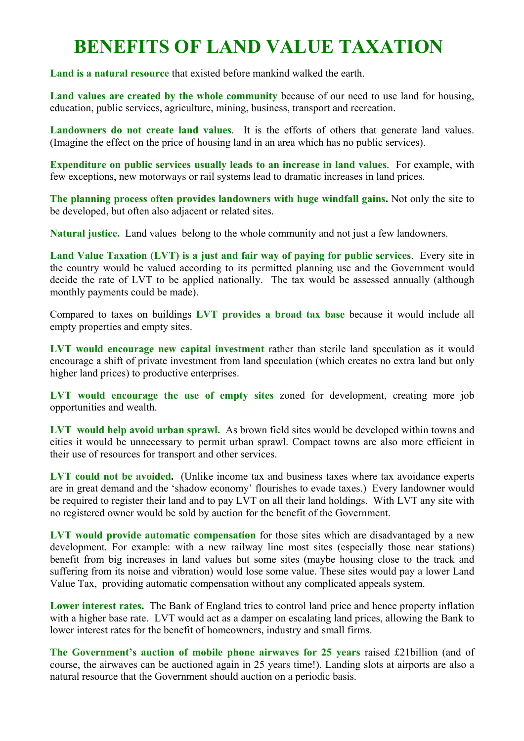## **BENEFITS OF LAND VALUE TAXATION**

**Land is a natural resource** that existed before mankind walked the earth.

**Land values are created by the whole community** because of our need to use land for housing, education, public services, agriculture, mining, business, transport and recreation.

**Landowners do not create land values**. It is the efforts of others that generate land values. (Imagine the effect on the price of housing land in an area which has no public services).

**Expenditure on public services usually leads to an increase in land values**. For example, with few exceptions, new motorways or rail systems lead to dramatic increases in land prices.

**The planning process often provides landowners with huge windfall gains.** Not only the site to be developed, but often also adjacent or related sites.

**Natural justice.** Land values belong to the whole community and not just a few landowners.

**Land Value Taxation (LVT) is a just and fair way of paying for public services**. Every site in the country would be valued according to its permitted planning use and the Government would decide the rate of LVT to be applied nationally. The tax would be assessed annually (although monthly payments could be made).

Compared to taxes on buildings **LVT provides a broad tax base** because it would include all empty properties and empty sites.

**LVT would encourage new capital investment** rather than sterile land speculation as it would encourage a shift of private investment from land speculation (which creates no extra land but only higher land prices) to productive enterprises.

**LVT would encourage the use of empty sites** zoned for development, creating more job opportunities and wealth.

**LVT would help avoid urban sprawl.** As brown field sites would be developed within towns and cities it would be unnecessary to permit urban sprawl. Compact towns are also more efficient in their use of resources for transport and other services.

LVT could not be avoided. (Unlike income tax and business taxes where tax avoidance experts are in great demand and the 'shadow economy' flourishes to evade taxes.) Every landowner would be required to register their land and to pay LVT on all their land holdings. With LVT any site with no registered owner would be sold by auction for the benefit of the Government.

**LVT would provide automatic compensation** for those sites which are disadvantaged by a new development. For example: with a new railway line most sites (especially those near stations) benefit from big increases in land values but some sites (maybe housing close to the track and suffering from its noise and vibration) would lose some value. These sites would pay a lower Land Value Tax, providing automatic compensation without any complicated appeals system.

**Lower interest rates.** The Bank of England tries to control land price and hence property inflation with a higher base rate. LVT would act as a damper on escalating land prices, allowing the Bank to lower interest rates for the benefit of homeowners, industry and small firms.

**The Government's auction of mobile phone airwaves for 25 years** raised £21billion (and of course, the airwaves can be auctioned again in 25 years time!). Landing slots at airports are also a natural resource that the Government should auction on a periodic basis.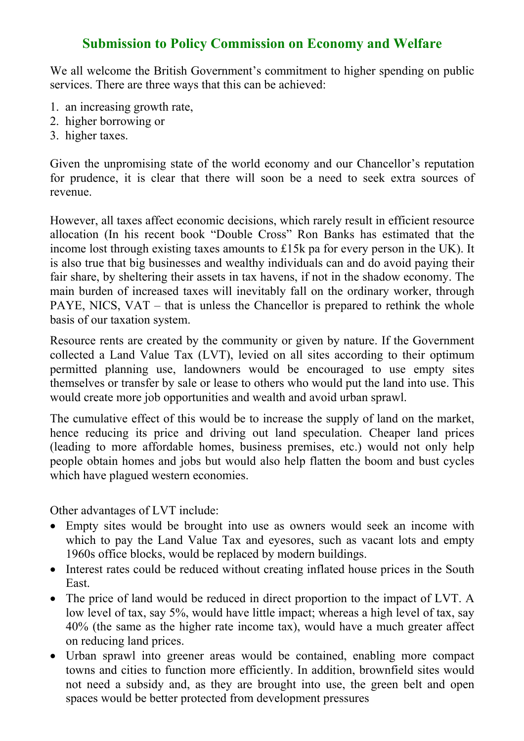## **Submission to Policy Commission on Economy and Welfare**

We all welcome the British Government's commitment to higher spending on public services. There are three ways that this can be achieved:

- 1. an increasing growth rate,
- 2. higher borrowing or
- 3. higher taxes.

Given the unpromising state of the world economy and our Chancellor's reputation for prudence, it is clear that there will soon be a need to seek extra sources of revenue.

However, all taxes affect economic decisions, which rarely result in efficient resource allocation (In his recent book "Double Cross" Ron Banks has estimated that the income lost through existing taxes amounts to £15k pa for every person in the UK). It is also true that big businesses and wealthy individuals can and do avoid paying their fair share, by sheltering their assets in tax havens, if not in the shadow economy. The main burden of increased taxes will inevitably fall on the ordinary worker, through PAYE, NICS, VAT – that is unless the Chancellor is prepared to rethink the whole basis of our taxation system.

Resource rents are created by the community or given by nature. If the Government collected a Land Value Tax (LVT), levied on all sites according to their optimum permitted planning use, landowners would be encouraged to use empty sites themselves or transfer by sale or lease to others who would put the land into use. This would create more job opportunities and wealth and avoid urban sprawl.

The cumulative effect of this would be to increase the supply of land on the market, hence reducing its price and driving out land speculation. Cheaper land prices (leading to more affordable homes, business premises, etc.) would not only help people obtain homes and jobs but would also help flatten the boom and bust cycles which have plagued western economies.

Other advantages of LVT include:

- Empty sites would be brought into use as owners would seek an income with which to pay the Land Value Tax and eyesores, such as vacant lots and empty 1960s office blocks, would be replaced by modern buildings.
- Interest rates could be reduced without creating inflated house prices in the South East.
- The price of land would be reduced in direct proportion to the impact of LVT. A low level of tax, say 5%, would have little impact; whereas a high level of tax, say 40% (the same as the higher rate income tax), would have a much greater affect on reducing land prices.
- Urban sprawl into greener areas would be contained, enabling more compact towns and cities to function more efficiently. In addition, brownfield sites would not need a subsidy and, as they are brought into use, the green belt and open spaces would be better protected from development pressures